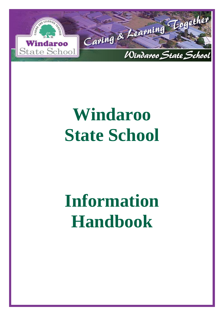

# **Windaroo State School**

# **Information Handbook**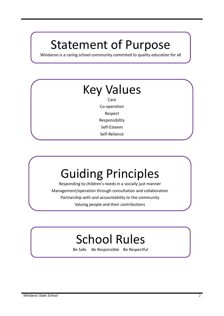## Statement of Purpose

Windaroo is a caring school community commited to quality education for all

## Key Values

Care Co-operation Respect Responsibility Self-Esteem Self-Reliance

## Guiding Principles

Responding to children's needs in a socially just manner Management/operation through consultation and collaboration Partnership with and accountability to the community Valuing people and their contributions

## School Rules

Be Safe Be Responsible Be Respectful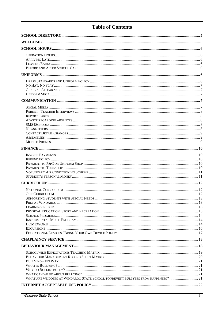## **Table of Contents**

| WHAT ARE WE DOING AT WINDAROO STATE SCHOOL TO PREVENT BULLYING FROM HAPPENING?  21 |  |
|------------------------------------------------------------------------------------|--|
|                                                                                    |  |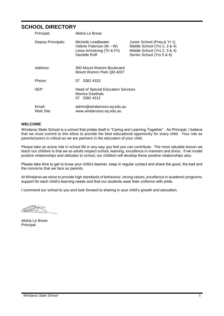### <span id="page-4-0"></span>**SCHOOL DIRECTORY**

| Principal:          | Alisha Le Brese                                                                                |                                                                                                                           |
|---------------------|------------------------------------------------------------------------------------------------|---------------------------------------------------------------------------------------------------------------------------|
| Deputy Principals:  | Michelle Leadbeater<br>Valerie Paterson (M – W)<br>Leisa Armstrong (Th & Fri)<br>Danielle Roff | Junior School (Prep, & Yr 1)<br>Middle School (Yrs 2, 3 & 4)<br>Middle School (Yrs 2, 3 & 4)<br>Senior School (Yrs 5 & 6) |
| Address:            | 300 Mount Warren Boulevard<br>Mount Warren Park Old 4207                                       |                                                                                                                           |
| Phone:              | 3382 4333<br>07                                                                                |                                                                                                                           |
| SEP:                | <b>Head of Special Education Services</b><br>Monica Goethals<br>07 3382 4312                   |                                                                                                                           |
| Email:<br>Web Site: | admin@windarooss.eq.edu.au<br>www.windarooss.eq.edu.au                                         |                                                                                                                           |

#### <span id="page-4-1"></span>**WELCOME**

Windaroo State School is a school that prides itself in "Caring and Learning Together". As Principal, I believe that we must commit to this ethos to provide the best educational opportunity for every child. Your role as parents/carers is critical as we are partners in the education of your child.

Please take an active role in school life in any way you feel you can contribute. The most valuable lesson we teach our children is that we as adults respect school, learning, excellence in manners and dress. If we model positive relationships and attitudes to school, our children will develop these positive relationships also.

Please take time to get to know your child's teacher, keep in regular contact and share the good, the bad and the concerns that we face as parents.

At Windaroo we strive to provide high standards of behaviour, strong values, excellence in academic programs, support for each child's learning needs and that our students wear their uniforms with pride.

I commend our school to you and look forward to sharing in your child's growth and education.

Alisha Le Brese Principal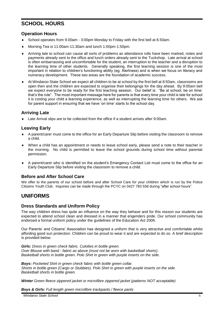### <span id="page-5-0"></span>**SCHOOL HOURS**

#### <span id="page-5-1"></span>**Operation Hours**

- School operates from 9.00am 3:00pm Monday to Friday with the first bell at 8.50am.
- Morning Tea is 11:00am-11:30am and lunch 1:00pm-1:50pm.
- Arriving late to school can cause all sorts of problems as attendance rolls have been marked, notes and payments already sent to the office and lunch orders already sent to the Tuckshop. Late arrival at school is often embarrassing and uncomfortable for the student, an interruption to the teacher and a disruption to the learning time of other students. Generally speaking, the first learning session is one of the most important in relation to children's functioning ability (eg. Alertness) and is when we focus on literacy and numeracy development. These two areas are the foundation of academic success.
- At Windaroo State School we expect all children to be at school by the first bell at 8:50am, classrooms are open then and the children are expected to organise their belongings for the day ahead. By 9:00am bell we expect everyone to be ready for the first teaching session. Our belief is: "Be at school, be on time: that's the rule". The most important message here for parents is that every time your child is late for school it is costing your child a learning experience, as well as interrupting the learning time for others. We ask for parent support in ensuring that we have 'on time' starts to the school day.

#### <span id="page-5-2"></span>**Arriving Late**

Late Arrival slips are to be collected from the office if a student arrives after 9:00am.

#### <span id="page-5-3"></span>**Leaving Early**

- A parent/carer must come to the office for an Early Departure Slip before visiting the classroom to remove a child.
- When a child has an appointment or needs to leave school early, please send a note to their teacher in the morning. No child is permitted to leave the school grounds during school time without parental permission.
- A parent/carer who is identified on the student's Emergency Contact List must come to the office for an Early Departure Slip before visiting the classroom to remove a child.

#### <span id="page-5-4"></span>**Before and After School Care**

We offer to the parents of our school before and after School Care for your children which is run by the Police Citizens Youth Club. Inquiries can be made through the PCYC on 0427 783 558 during "after school hours".

## <span id="page-5-5"></span>**UNIFORMS**

#### <span id="page-5-6"></span>**Dress Standards and Uniform Policy**

The way children dress has quite an influence on the way they behave and for this reason our students are expected to attend school clean and dressed in a manner that engenders pride. Our school community has endorsed a formal uniform policy under the guidelines of the Education Act 2006.

Our Parents' and Citizens' Association has designed a uniform that is very attractive and comfortable whilst affording good sun protection. Children can be proud to wear it and are expected to do so. A brief description is provided below.

*Girls: Dress in green check fabric. Culottes in bottle green. Over Blouse with band - fabric as above (must not be worn with basketball shorts). Basketball shorts in bottle green. Polo Shirt in green with purple inserts on the side.*

*Boys: Pocketed Shirt in green check fabric with bottle green collar. Shorts in bottle green (Cargo or Stubbies). Polo Shirt in green with purple inserts on the side. Basketball shorts in bottle green.*

*Winter Green fleece zippered jacket or microfibre zippered jacket (patterns NOT acceptable)*

*Boys & Girls: Full length green microfibre trackpants / fleece pants*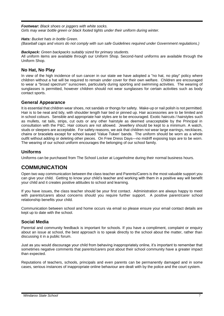*Footwear: Black shoes or joggers with white socks. Girls may wear bottle green or black footed tights under their uniform during winter.*

#### *Hats: Bucket hats in bottle Green.*

*(Baseball caps and visors do not comply with sun safe Guidelines required under Government regulations.)*

*Backpack: Green backpacks suitably sized for primary students.*

All uniform items are available through our Uniform Shop. Second-hand uniforms are available through the Uniform Shop.

#### <span id="page-6-0"></span>**No Hat, No Play**

In view of the high incidence of sun cancer in our state we have adopted a "no hat, no play" policy where children without a hat will be required to remain under cover for their own welfare. Children are encouraged to wear a "broad spectrum" sunscreen, particularly during sporting and swimming activities. The wearing of sunglasses is permitted, however children should not wear sunglasses for certain activities such as body contact sports.

#### <span id="page-6-1"></span>**General Appearance**

It is essential that children wear shoes, not sandals or thongs for safety. Make-up or nail polish is not permitted. Hair is to be neat and tidy, with shoulder length hair tied or pinned up. Hair accessories are to be limited and in school colours. Sensible and appropriate hair styles are to be encouraged. Exotic haircuts / hairstyles such as mullets, rat tails, strips, cut outs or any other hairstyle as deemed unacceptable by the Principal in consultation with the P&C. Hair colours are not allowed. Jewellery should be kept to a minimum. A watch, studs or sleepers are acceptable. For safety reasons, we ask that children not wear large earrings, necklaces, chains or bracelets except for school issued 'Value Token' bands. The uniform should be worn as a whole outfit without adding or deleting other pieces. On Free Dress Days—no midriff exposing tops are to be worn. The wearing of our school uniform encourages the belonging of our school family.

#### <span id="page-6-2"></span>**Uniforms**

<span id="page-6-3"></span>Uniforms can be purchased from The School Locker at Loganholme during their normal business hours.

## **COMMUNICATION**

Open two way communication between the class teacher and Parents/Carers is the most valuable support you can give your child. Getting to know your child's teacher and working with them in a positive way will benefit your child and it creates positive attitudes to school and learning.

If you have issues, the class teacher should be your first contact. Administration are always happy to meet with parents/carers about concerns should you require further support. A positive parent/carer school relationship benefits your child.

Communication between school and home occurs via email so please ensure your email contact details are kept up to date with the school.

#### <span id="page-6-4"></span>**Social Media**

Parental and community feedback is important for schools. If you have a compliment, complaint or enquiry about an issue at school, the best approach is to speak directly to the school about the matter, rather than discussing it in a public forum.

Just as you would discourage your child from behaving inappropriately online, it's important to remember that sometimes negative comments that parents/carers post about their school community have a greater impact than expected.

<span id="page-6-5"></span>Reputations of teachers, schools, principals and even parents can be permanently damaged and in some cases, serious instances of inappropriate online behaviour are dealt with by the police and the court system.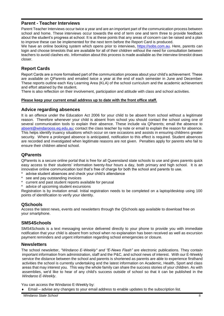#### **Parent - Teacher Interviews**

Parent Teacher Interviews occur twice a year and are an important part of the communication process between school and home. These interviews occur towards the end of term one and term three to provide feedback about the student's progress at school. It is at these points that any areas of concern can be raised and a plan to improve these can be implemented for the next term before the Report Card is produced.

We have an online booking system which opens prior to interviews, [https://sobs.com.au.](https://sobs.com.au/) Here, parents can login and choose timeslots that are available for all of their children without the need for consultation between teachers to avoid clashes etc. Information about this process is made available as the interview timeslot draws closer.

#### <span id="page-7-0"></span>**Report Cards**

Report Cards are a more formalised part of the communication process about your child's achievement. These are available on QParents and emailed twice a year at the end of each semester in June and December. These reports outline each Key Learning Area (KLA) of the school curriculum and the academic achievement and effort attained by the student.

There is also reflection on their involvement, participation and attitude with class and school activities.

#### <span id="page-7-1"></span>**Please keep your current email address up to date with the front office staff.**

#### **Advice regarding absences**

It is an offence under the Education Act 2006 for your child to be absent from school without a legitimate reason. Therefore whenever your child is absent from school you should contact the school using one of several communication tools to explain their absence. These include via QParents; email the absence to [absent@windarooss.eq.edu.au;](mailto:absent@windarooss.eq.edu.au) contact the class teacher by note or email to explain the reason for absence. This helps identify truancy situations which occur on rare occasions and assists in ensuring childrens greater security. Where a prolonged absence is anticipated, notification to this effect is required. Student absences are recorded and investigated when legitimate reasons are not given. Penalties apply for parents who fail to ensure their children attend school.

#### **QParents**

QParents is a secure online portal that is free for all Queensland state schools to use and gives parents quick easy access to their students' information twenty-four hours a day, both primary and high school. It is an innovative online communication tool that's free of charge for both the school and parents to use.

- advise student absences and check your child's attendance
- see and pay outstanding invoices
- \* current and past student reports available for perusal
- advice of upcoming student excursions

Registration is by invitation email. Initial registration needs to be completed on a laptop/desktop using 100 points of identification to verify your identity.

#### **QSchools**

Access the latest news, events and newsletters through the QSchools app available to download free on your smartphone.

#### <span id="page-7-2"></span>**SMS4Schools**

SMS4Schools is a text messaging service delivered directly to your phone to provide you with immediate notification that your child is absent from school when no explanation has been received as well as excursion payment reminders and urgent information regarding school emergencies or closure.

#### <span id="page-7-3"></span>**Newsletters**

The school newsletter, *"Windaroo E-Weekly" and "E-News Flash"* are electronic publications. They contain important information from administration, staff and the P&C, and school news of interest. With our E-Weekly service the distance between the school and parents is shortened as parents are able to experience firsthand activities the school is currently undertaking and the latest information on Academic, Health, Sport and class areas that may interest you. This way the whole family can share the success stories of your children. As with assemblies, we'd like to hear of any child's success outside of school so that it can be published in the *Windaroo E-Weekly*.

You can access the Windaroo E-Weekly by:

Email – advise any changes to your email address to enable updates to the subscription list.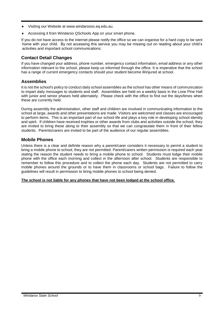- Visiting our Website at [www.windarooss.eq.edu.au.](http://www.windarooss.eq.edu.au/)
- Accessing it from Windaroo QSchools App on your smart phone.

If you do not have access to the internet please notify the office so we can organise for a hard copy to be sent home with your child. By not accessing this service you may be missing out on reading about your child's activities and important school communications.

#### <span id="page-8-0"></span>**Contact Detail Changes**

If you have changed your address, phone number, emergency contact information, email address or any other information relevant to the school, please keep us informed through the office. It is imperative that the school has a range of current emergency contacts should your student become ill/injured at school.

#### <span id="page-8-1"></span>**Assemblies**

It is not the school's policy to conduct daily school assemblies as the school has other means of communication to impart daily messages to students and staff. Assemblies are held on a weekly basis in the Lone Pine Hall with junior and senior phases held alternately. Please check with the office to find out the days/times when these are currently held.

During assembly the administration, other staff and children are involved in communicating information to the school at large, awards and other presentations are made. Visitors are welcomed and classes are encouraged to perform items. This is an important part of our school life and plays a key role in developing school identity and spirit. If children have received trophies or other awards from clubs and activities outside the school, they are invited to bring these along to their assembly so that we can congratulate them in front of their fellow students. Parents/carers are invited to be part of the audience of our regular assemblies.

#### <span id="page-8-2"></span>**Mobile Phones**

Unless there is a clear and definite reason why a parent/carer considers it necessary to permit a student to bring a mobile phone to school, they are not permitted. Parent/carers written permission is required each year stating the reason the student needs to bring a mobile phone to school. Students must lodge their mobile phone with the office each morning and collect in the afternoon after school. Students are responsible to remember to follow this procedure and to collect the phone each day. Students are not permitted to carry mobile phones around the grounds or to have them in classrooms or school bags. Failure to follow the guidelines will result in permission to bring mobile phones to school being denied.

#### **The school is not liable for any phones that have not been lodged at the school office.**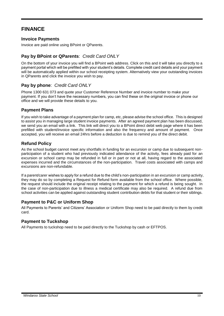## <span id="page-9-0"></span>**FINANCE**

#### <span id="page-9-1"></span>**Invoice Payments**

Invoice are paid online using BPoint or QParents.

#### **Pay by BPoint or QParents**: *Credit Card ONLY*

On the bottom of your invoice you will find a BPoint web address. Click on this and it will take you directly to a payment portal which will be prefilled with your student's details. Complete credit card details and your payment will be automatically applied within our school receipting system. Alternatively view your outstanding invoices in QParents and click the invoice you wish to pay.

#### **Pay by phone**: *Credit Card ONLY*

Phone 1300 631 073 and quote your Customer Reference Number and invoice number to make your payment. If you don't have the necessary numbers, you can find these on the original invoice or phone our office and we will provide these details to you.

#### **Payment Plans**

If you wish to take advantage of a payment plan for camp, etc, please advise the school office. This is designed to assist you in managing large student invoice payments. After an agreed payment plan has been discussed, we send you an email with a link. This link will direct you to a BPoint direct debit web page where it has been prefilled with student/invoice specific information and also the frequency and amount of payment. Once accepted, you will receive an email 24hrs before a deduction is due to remind you of the direct debit.

#### <span id="page-9-2"></span>**Refund Policy**

As the school budget cannot meet any shortfalls in funding for an excursion or camp due to subsequent nonparticipation of a student who had previously indicated attendance of the activity, fees already paid for an excursion or school camp may be refunded in full or in part or not at all, having regard to the associated expenses incurred and the circumstances of the non-participation. Travel costs associated with camps and excursions are non-refundable.

If a parent/carer wishes to apply for a refund due to the child's non-participation in an excursion or camp activity, they may do so by completing a Request for Refund form available from the school office. Where possible, the request should include the original receipt relating to the payment for which a refund is being sought. In the case of non-participation due to illness a medical certificate may also be required. A refund due from school activities can be applied against outstanding student contribution debts for that student or their siblings.

#### <span id="page-9-3"></span>**Payment to P&C or Uniform Shop**

All Payments to Parents' and Citizens' Association or Uniform Shop need to be paid directly to them by credit card.

#### <span id="page-9-4"></span>**Payment to Tuckshop**

All Payments to tuckshop need to be paid directly to the Tuckshop by cash or EFTPOS.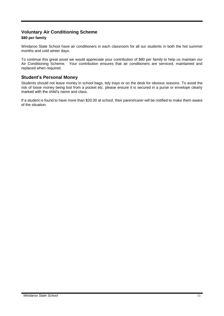#### <span id="page-10-0"></span>**Voluntary Air Conditioning Scheme**

#### **\$80 per family**

Windaroo State School have air conditioners in each classroom for all our students in both the hot summer months and cold winter days.

To continue this great asset we would appreciate your contribution of \$80 per family to help us maintain our Air Conditioning Scheme. Your contribution ensures that air conditioners are serviced, maintained and replaced when required.

#### <span id="page-10-1"></span>**Student's Personal Money**

Students should not leave money in school bags, tidy trays or on the desk for obvious reasons. To avoid the risk of loose money being lost from a pocket etc. please ensure it is secured in a purse or envelope clearly marked with the child's name and class.

If a student is found to have more than \$20.00 at school, their parent/carer will be notified to make them aware of the situation.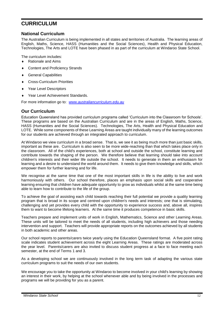### <span id="page-11-0"></span>**CURRICULUM**

#### <span id="page-11-1"></span>**National Curriculum**

The Australian Curriculum is being implemented in all states and territories of Australia. The learning areas of English, Maths, Science, HASS (Humanities and the Social Sciences), Health and Physical Education, Technologies, The Arts and LOTE have been phased in as part of the curriculum at Windaroo State School.

The curriculum includes:

- ◆ Rationale and Aims
- Content and Proficiency Strands
- General Capabilities
- Cross-Curriculum Priorities
- Year Level Descriptors
- ◆ Year Level Achievement Standards.

<span id="page-11-2"></span>For more information go to: *[www.australiancurriculum.edu.au](http://www.australiancurriculum.edu.au/)*

#### **Our Curriculum**

Education Queensland has provided curriculum programs called 'Curriculum into the Classroom for Schools'. These programs are based on the Australian Curriculum and are in the areas of English, Maths, Science, HASS (Humanities and the Social Sciences). Technologies, The Arts, Health and Physical Education and LOTE. While some components of these Learning Areas are taught individually many of the learning outcomes for our students are achieved through an integrated approach to curriculum.

At Windaroo we view curriculum in a broad sense. That is, we see it as being much more than just basic skills, important as these are. Curriculum is also seen to be more wide-reaching than that which takes place only in the classroom. All of the child's experiences, both at school and outside the school, constitute learning and contribute towards the shaping of the person. We therefore believe that learning should take into account children's interests and their wider life outside the school. It needs to generate in them an enthusiasm for learning and a desire to understand the world around them. It needs to give them knowledge and skills, which empower them for further learning and for life.

We recognise at the same time that one of the most important skills in life is the ability to live and work harmoniously with others. Our school therefore, places an emphasis upon social skills and cooperative learning ensuring that children have adequate opportunity to grow as individuals whilst at the same time being able to learn how to contribute to the life of the group.

To achieve the goal of assisting each child towards reaching their full potential we provide a quality learning program that is broad in its scope and centred upon children's needs and interests; one that is stimulating, challenging and yet provides every child with the opportunity to experience success and, above all, inspires them to want to become lifelong learners. At the same time it produces competence in basic skills.

Teachers prepare and implement units of work in English, Mathematics, Science and other Learning Areas. These units will be tailored to meet the needs of all students, including high achievers and those needing intervention and support. Teachers will provide appropriate reports on the outcomes achieved by all students in both academic and other areas.

Our school reports to parents/carers twice yearly using the Education Queensland format. A five point rating scale indicates student achievement across the eight Learning Areas. These ratings are moderated across the year level. Parents/carers are also invited to discuss student progress at a face to face meeting each semester, at the end of Terms 1 and 3.

As a developing school we are continuously involved in the long term task of adapting the various state curriculum programs to suit the needs of our own students.

We encourage you to take the opportunity at Windaroo to become involved in your child's learning by showing an interest in their work, by helping at the school whenever able and by being involved in the processes and programs we will be providing for you as a parent.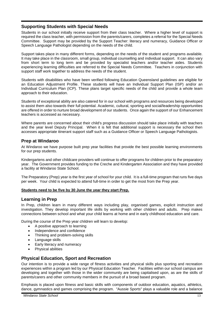#### <span id="page-12-0"></span>**Supporting Students with Special Needs**

Students in our school initially receive support from their class teacher. Where a higher level of support is required the class teacher, with permission from the parents/carers, completes a referral for the Special Needs Committee. Support may be provided by the Support Teacher: literacy and numeracy, Guidance Officer or Speech Language Pathologist depending on the needs of the child.

Support takes place in many different forms, depending on the needs of the student and programs available. It may take place in the classroom, small group, individual counselling and individual support. It can also vary from short term to long term and be provided by specialist teachers and/or teacher aides. Students experiencing learning difficulties are referred to the Special Needs Committee. Teachers in conjunction with support staff work together to address the needs of the student.

Students with disabilities who have been verified following Education Queensland guidelines are eligible for an Education Adjustment Profile. These students will have an Individual Support Plan (ISP) and/or an Individual Curriculum Plan (ICP). These plans target specific needs of the child and provide a whole team approach to their education.

Students of exceptional ability are also catered for in our school with programs and resources being developed to assist them also towards their full potential. Academic, cultural, sporting and social/leadership opportunities are offered in order to nurture broad development of our students. Once again the support of our Enhancement teachers is accessed as necessary.

Where parents are concerned about their child's progress discussion should take place initially with teachers and the year level Deputy Principal. When it is felt that additional support is necessary the school then accesses appropriate itinerant support staff such as a Guidance Officer or Speech Language Pathologists.

#### <span id="page-12-1"></span>**Prep at Windaroo**

At Windaroo we have purpose built prep year facilities that provide the best possible learning environments for our prep students.

Kindergartens and other childcare providers will continue to offer programs for children prior to the preparatory year. The Government provides funding to the Creche and Kindergarten Association and they have provided a facility at Windaroo State School.

The Preparatory (Prep) year is the first year of school for your child. It is a full-time program that runs five days per week. Your child is expected to attend full-time in order to get the most from the Prep year.

#### <span id="page-12-2"></span>**Students need to be five by 30 June the year they start Prep.**

#### **Learning in Prep**

In Prep, children learn in many different ways including play, organised games, explicit instruction and investigation. They develop important life skills by working with other children and adults. Prep makes connections between school and what your child learns at home and in early childhood education and care.

During the course of the Prep year children will learn to develop:

- A positive approach to learning
- Independence and confidence
- Thinking and problem-solving skills
- Language skills
- Early literacy and numeracy
- Physical abilities

#### <span id="page-12-3"></span>**Physical Education, Sport and Recreation**

Our intention is to provide a wide range of fitness activities and physical skills plus sporting and recreation experiences within a program led by our Physical Education Teacher. Facilities within our school campus are developing and together with those in the wider community are being capitalised upon, as are the skills of parents/carers and other community members in the pursuit of a broad based program.

Emphasis is placed upon fitness and basic skills with components of outdoor education, aquatics, athletics, dance, gymnastics and games comprising the program. "Aussie Sports" plays a valuable role and a balance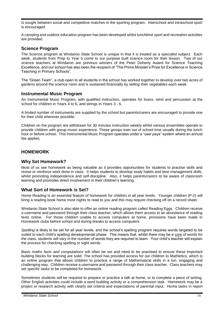is sought between social and competitive matches in the sporting program. Interschool and intraschool sport is encouraged.

A camping and outdoor education program has been developed whilst lunchtime sport and recreation activities are provided.

#### <span id="page-13-0"></span>**Science Program**

The Science program at Windaroo State School is unique in that it is treated as a specialist subject. Each week, students from Prep to Year 5 come to our purpose built science room for their lesson. Two of our science teachers at Windaroo are previous winners of the Peter Doherty Award for Science Teaching Excellence, and our school has also been the recipient of "The Prime Minister's Prize for Excellence in Science Teaching in Primary Schools".

The "Green Team", a club open to all students in the school has worked together to develop over two acres of gardens around the science room and is sustained financially by selling their vegetables each week.

#### <span id="page-13-1"></span>**Instrumental Music Program**

An Instrumental Music Program, with qualified instructors, operates for brass, wind and percussion at the school for children in Years 4 to 6, and strings in Years 3 - 6.

A limited number of instruments are supplied by the school but parents/carers are encouraged to provide one for their child wherever possible.

Children on the program are withdrawn for 30 minutes instruction weekly whilst various ensembles operate to provide children with group music experience. These groups train out of school time usually during the lunch hour or before school. This Instrumental Music Program operates under a "user pays" system where an annual fee applies.

#### <span id="page-13-2"></span>**HOMEWORK**

#### **Why Set Homework?**

Most of us see homework as being valuable as it provides opportunities for students to practise skills and revise or reinforce work done in class. It helps students to develop study habits and time management skills, whilst promoting independence and self-discipline. Also, it helps parents/carers to be aware of classroom learning and promotes direct involvement in their children's learning.

#### **What Sort of Homework is Set?**

*Home Reading* is an essential feature of homework for children in all year levels. Younger children (P-2) will bring a reading book home most nights to read to you and this may require checking off on a record sheet.

Windaroo State School is also able to offer an online reading program called Reading Eggs. Children receive a username and password through their class teacher, which allows them access to an abundance of reading texts online. For those children unable to access computers at home, provisions have been made in Homework clubs before school and during breaks to access computers.

*Spelling* is likely to be set for all year levels, and the school's spelling program requires words targeted to be suited to each child's spelling developmental phase. This means that, whilst there may be a core of words for the class, students will vary in the number of words they are required to learn. Your child's teacher will explain the process for checking spelling or sight words.

*Basic maths facts and computations* will often be set and need to be practised to ensure these important building blocks for learning are solid. The school has provided access for our children to Mathletics, which is an online program that allows children to practice a range of Mathematical skills in a fun, engaging and challenging way. Children receive a username and password through their class teacher. Class teachers may set specific tasks to be completed for homework.

Sometimes students will be required to prepare or practice a talk at home, or to complete a piece of writing. Other English activities could include a word building activity or a comprehension task. Homework may be a project or research activity with clearly set criteria and expectations of parental input. Home tasks in report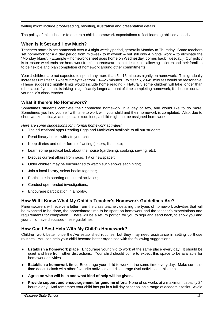writing might include proof-reading, rewriting, illustration and presentation details.

The policy of this school is to ensure a child's homework expectations reflect learning abilities / needs.

#### **When is it Set and How Much?**

Teachers normally set homework over a 4 night weekly period, generally Monday to Thursday. Some teachers set homework for a 4 day period from midweek to midweek – but still only 4 nights' work – to eliminate the "Monday blues". (Example – homework sheet goes home on Wednesday, comes back Tuesday.) Our policy is to ensure weekends are homework free for parents/carers that desire this, allowing children and their families to be flexible and plan completion of homework around other commitments.

Year 1 children are not expected to spend any more than 5—15 minutes nightly on homework. This gradually increases until Year 3 where it may take from 10—25 minutes. By Year 6, 20-45 minutes would be reasonable. (These suggested nightly limits would include home reading.) Naturally some children will take longer than others, but if your child is taking a significantly longer amount of time completing homework, it is best to contact your child's class teacher.

#### **What if there's No Homework?**

Sometimes students complete their contacted homework in a day or two, and would like to do more. Sometimes you find yourself with time to work with your child and their homework is completed. Also, due to short weeks, holidays and special excursions, a child might not be assigned homework.

*Here are some suggestions for informal homework activities:*

- The educational apps Reading Eggs and Mathletics available to all our students;
- ◆ Read library books with / to your child;
- ◆ Keep diaries and other forms of writing (letters, lists, etc);
- Learn some practical task about the house (gardening, cooking, sewing, etc);
- Discuss current affairs from radio, TV or newspaper;
- Older children may be encouraged to watch such shows each night;
- ◆ Join a local library, select books together;
- ◆ Participate in sporting or cultural activities;
- Conduct open-ended investigations;
- ◆ Encourage participation in a hobby.

#### **How Will I Know What My Child's Teacher's Homework Guidelines Are?**

Parents/carers will receive a letter from the class teacher, detailing the types of homework activities that will be expected to be done, the approximate time to be spent on homework and the teacher's expectations and requirements for completion. There will be a return portion for you to sign and send back, to show you and your child have discussed these guidelines.

#### **How Can I Best Help With My Child's Homework?**

Children work better once they've established routines, but they may need assistance in setting up those routines. You can help your child become better organised with the following suggestions:

- **Establish a homework place**: Encourage your child to work at the same place every day. It should be quiet and free from other distractions. Your child should come to expect this space to be available for homework activities.
- **Establish a homework time**: Encourage your child to work at the same time every day. Make sure this time doesn't clash with other favourite activities and discourage rival activities at this time.
- **Agree on who will help and what kind of help will be given.**
- **Provide support and encouragement for genuine effort:** None of us works at a maximum capacity 24 hours a day. And remember your child has put in a full day at school on a range of academic tasks. Avoid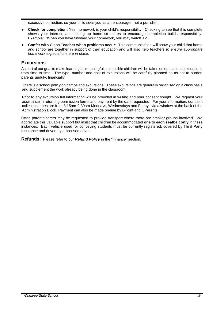excessive correction, so your child sees you as an encourager, not a punisher.

- **Check for completion:** Yes, homework is your child's responsibility. Checking to see that it is complete shows your interest, and setting up home structures to encourage completion builds responsibility. Example: "When you have finished your homework, you may watch TV.
- **Confer with Class Teacher when problems occur**: This communication will show your child that home and school are together in support of their education and will also help teachers *to ensure appropriate homework expectations are in place.*

#### <span id="page-15-0"></span>**Excursions**

As part of our goal to make learning as meaningful as possible children will be taken on educational excursions from time to time. The type, number and cost of excursions will be carefully planned so as not to burden parents unduly, financially.

There is a school policy on camps and excursions. These excursions are generally organised on a class basis and supplement the work already being done in the classroom.

Prior to any excursion full information will be provided in writing and your consent sought. We request your assistance in returning permission forms and payment by the date requested. For your information, our cash collection times are from 8:15am-9:30am Mondays, Wednesdays and Fridays via a window at the back of the Administration Block. Payment can also be made on-line by BPoint and QParents.

Often parents/carers may be requested to provide transport where there are smaller groups involved. We appreciate this valuable support but insist that children be accommodated **one to each seatbelt only** in these instances. Each vehicle used for conveying students must be currently registered, covered by Third Party Insurance and driven by a licensed driver.

**Refunds:** Please refer to our *Refund Policy* in the "Finance" section.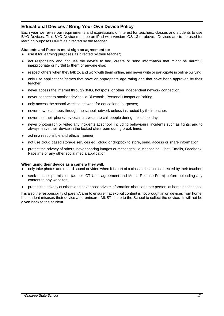#### <span id="page-16-0"></span>**Educational Devices / Bring Your Own Device Policy**

Each year we revise our requirements and expressions of interest for teachers, classes and students to use BYO Devices. This BYO Device must be an iPad with version IOS 13 or above. Devices are to be used for learning purposes ONLY as directed by the teacher.

#### **Students and Parents must sign an agreement to:**

- use it for learning purposes as directed by their teacher;
- act responsibly and not use the device to find, create or send information that might be harmful, inappropriate or hurtful to them or anyone else;
- respect others when they talk to, and work with them online, and never write or participate in online bullying;
- only use applications/games that have an appropriate age rating and that have been approved by their teacher;
- never access the internet through 3/4G, hotspots, or other independent network connection;
- never connect to another device via Bluetooth, Personal Hotspot or Pairing.
- only access the school wireless network for educational purposes;
- never download apps through the school network unless instructed by their teacher.
- never use their phone/device/smart watch to call people during the school day;
- never photograph or video any incidents at school, including behavioural incidents such as fights; and to always leave their device in the locked classroom during break times
- ◆ act in a responsible and ethical manner,
- not use cloud based storage services eg. icloud or dropbox to store, send, access or share information
- protect the privacy of others, never sharing images or messages via Messaging, Chat, Emails, Facebook, Facetime or any other social media application.

#### **When using their device as a camera they will:**

- only take photos and record sound or video when it is part of a class or lesson as directed by their teacher;
- seek teacher permission (as per ICT User agreement and Media Release Form) before uploading any content to any websites;
- protect the privacy of others and never post private information about another person, at home or at school.

It is also the responsibility of parent/carer to ensure that explicit content is not brought in on devices from home. If a student misuses their device a parent/carer MUST come to the School to collect the device. It will not be given back to the student.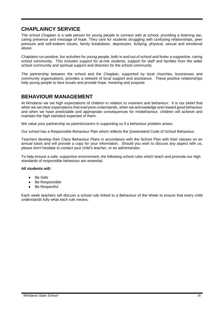## <span id="page-17-0"></span>**CHAPLAINCY SERVICE**

The school Chaplain is a safe person for young people to connect with at school, providing a listening ear, caring presence and message of hope. They care for students struggling with confusing relationships, peer pressure and self-esteem issues, family breakdown, depression, bullying, physical, sexual and emotional abuse.

Chaplains run positive, fun activities for young people, both in and out of school and foster a supportive, caring school community. This includes support for at-risk students, support for staff and families from the wider school community and spiritual support and direction for the school community.

The partnership between the school and the Chaplain, supported by local churches, businesses and community organisations, provides a network of local support and assistance. These positive relationships help young people to face issues and provide hope, meaning and purpose.

### <span id="page-17-1"></span>**BEHAVIOUR MANAGEMENT**

At Windaroo we set high expectations of children in relation to manners and behaviour. It is our belief that when we set clear expectations that everyone understands, when we acknowledge and reward good behaviour and when we have predictable and appropriate consequences for misbehaviour, children will achieve and maintain the high standard expected of them.

We value your partnership as parents/carers in supporting us if a behaviour problem arises.

Our school has a Responsible Behaviour Plan which reflects the Queensland Code of School Behaviour.

Teachers develop their Class Behaviour Plans in accordance with the School Plan with their classes on an annual basis and will provide a copy for your information. Should you wish to discuss any aspect with us, please don't hesitate to contact your child's teacher, or an administrator.

To help ensure a safe, supportive environment, the following school rules which teach and promote our high standards of responsible behaviour are essential.

#### **All students will:**

- Be Safe
- Be Responsible
- Be Respectful

Each week teachers will discuss a school rule linked to a Behaviour of the Week to ensure that every child understands fully what each rule means.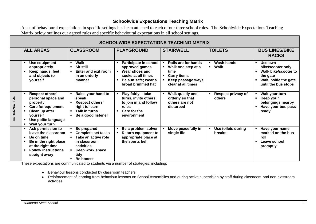#### **Schoolwide Expectations Teaching Matrix**

A set of behavioural expectations in specific settings has been attached to each of our three school rules. The Schoolwide Expectations Teaching Matrix below outlines our agreed rules and specific behavioural expectations in all school settings.

| <b>SCHOOLWIDE EXPECTATIONS TEACHING MATRIX</b> |                                                                                                                                                              |                                                                                                                                              |                                                                                                                             |                                                                                                                    |                                             |                                                                                                                                                                       |
|------------------------------------------------|--------------------------------------------------------------------------------------------------------------------------------------------------------------|----------------------------------------------------------------------------------------------------------------------------------------------|-----------------------------------------------------------------------------------------------------------------------------|--------------------------------------------------------------------------------------------------------------------|---------------------------------------------|-----------------------------------------------------------------------------------------------------------------------------------------------------------------------|
|                                                | <b>ALL AREAS</b>                                                                                                                                             | <b>CLASSROOM</b>                                                                                                                             | <b>PLAYGROUND</b>                                                                                                           | <b>STAIRWELL</b>                                                                                                   | <b>TOILETS</b>                              | <b>BUS LINES/BIKE</b><br><b>RACKS</b>                                                                                                                                 |
|                                                | Use equipment<br>appropriately<br>Keep hands, feet<br>and objects to<br>yourself                                                                             | <b>Walk</b><br>$\blacksquare$<br>Sit still<br>Enter and exit room<br>in an orderly<br>manner                                                 | Participate in school<br>approved games<br>Wear shoes and<br>socks at all times<br>Be sun safe; wear a<br>broad brimmed hat | Rails are for hands<br>Walk one step at a<br>time<br><b>Carry items</b><br>Keep passage ways<br>clear at all times | <b>Wash hands</b><br>Walk<br>$\blacksquare$ | Use own<br>$\blacksquare$<br>bike/scooter only<br>Walk bike/scooter to<br>$\blacksquare$<br>the gate<br>Wait inside the gate<br>$\blacksquare$<br>until the bus stops |
| <b>RESPECTFUL</b><br>볾                         | <b>Respect others'</b><br>personal space and<br>property<br><b>Care for equipment</b><br>Clean up after<br>vourself<br>Use polite language<br>Wait your turn | Raise your hand to<br>speak<br><b>Respect others'</b><br>right to learn<br>Talk in turns<br>$\blacksquare$<br>Be a good listener             | Play fairly - take<br>turns, invite others<br>to join in and follow<br>rules<br>Care for the<br>environment                 | Walk quietly and<br>orderly so that<br>others are not<br>disturbed                                                 | Respect privacy of<br>others                | Wait your turn<br>Keep your<br>$\blacksquare$<br>belongings nearby<br>Have your bus pass<br>$\blacksquare$<br>ready                                                   |
|                                                | Ask permission to<br>leave the classroom<br>Be on time<br>Be in the right place<br>at the right time<br><b>Follow instructions</b><br>straight away          | Be prepared<br><b>Complete set tasks</b><br>Take an active role<br>in classroom<br>activities<br>Keep work space<br>tidy<br><b>Be honest</b> | Be a problem solver<br><b>Return equipment to</b><br>appropriate place at<br>the sports bell                                | Move peacefully in<br>single file                                                                                  | Use toilets during<br>breaks                | Have your name<br>marked on the bus<br>roll<br>Leave school<br>$\blacksquare$<br>promptly                                                                             |

<span id="page-18-0"></span>These expectations are communicated to students via a number of strategies, including:

- Behaviour lessons conducted by classroom teachers
- Reinforcement of learning from behaviour lessons on School Assemblies and during active supervision by staff during classroom and non-classroom activities.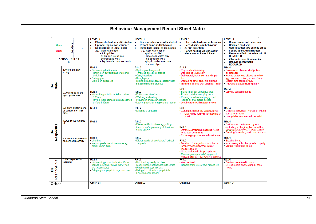## <span id="page-19-0"></span>**Behaviour Management Record Sheet Matrix**

|                              |                                                                       | <b>LEVEL1</b>                                                                                                                                                                                                                                                                     | LEVEL 2                                                                                                                                                                                                                                                                                                                  | LEVEL <sub>3</sub>                                                                                                                                                                                                                                                                                                                                                                            | <b>LEVEL 4</b>                                                                                                                                                                                                                                                                                           |
|------------------------------|-----------------------------------------------------------------------|-----------------------------------------------------------------------------------------------------------------------------------------------------------------------------------------------------------------------------------------------------------------------------------|--------------------------------------------------------------------------------------------------------------------------------------------------------------------------------------------------------------------------------------------------------------------------------------------------------------------------|-----------------------------------------------------------------------------------------------------------------------------------------------------------------------------------------------------------------------------------------------------------------------------------------------------------------------------------------------------------------------------------------------|----------------------------------------------------------------------------------------------------------------------------------------------------------------------------------------------------------------------------------------------------------------------------------------------------------|
| <b>Minor</b><br><b>Major</b> | <b>CEVELS</b><br>$\Rightarrow$<br><b>SCHOOL RULES</b><br>Л            | <b>Discuss behaviours with student</b><br>$\bullet$<br><b>Optional logical consequence</b><br>٠<br>No recording in Duty Folder<br>$\bullet$<br>eg. -walk with teacher<br>-pick up litter<br>-sit out and watch play<br>-go back and walk<br>-play in undercover area only         | <b>Discuss behaviours with student</b><br><b>Record name and behaviour</b><br>$\bullet$<br>Immediate logical consequence<br>$\bullet$<br>eg, -walk with teacher<br>-pick up rubbish<br>-sit out and watch play<br>-go back and walk<br>-play in undercover area<br>-remove object                                        | <b>Discuss behaviours with student</b><br><b>Record name and behaviour</b><br>$\bullet$<br>$\bullet$<br>20 min detention<br>$\bullet$<br><b>Parent notified via Behaviour</b><br><b>Management Record Sheet</b>                                                                                                                                                                               | <b>Record name and behaviour</b><br>Red alert card sent,<br>Administrator take child to office<br><b>Follow up by Administrator</b><br>۰<br>Parent notified / interview held IF<br>$\bullet$<br><b>REQUIRED</b><br>20 minute detention in office<br>٠<br><b>Behaviour contract IF</b><br><b>REQUIRED</b> |
| <b>Be</b><br>Safe            | 1. Work and play<br>safely<br>2. Always be in the<br>appropriate area | R1:11<br>• Not wearing hat / shoes<br>. Running on paved areas or around<br>buildings<br>- Eating gum<br>• Sitting on port racks<br>R <sub>2</sub> :L <sub>1</sub><br>. Not waiting outside tuckshop before<br>8.15am<br>- Playing (ball) games outside tuckshop<br>before 8.15am | R1:12<br>· Spitting on the ground<br>• Throwing objects at ground<br>- Carrying sticks<br>- Rough play<br>· Riding bike/skateboard/scooter/roller<br>blades on school grounds<br>R2:12<br>. Eating outside of area<br>. Walking and eating<br>• Playing in and around toilets<br>- Leaving desk for inappropriate reason | R1:13<br>- Physically intimidating<br>- Dangerous rough play<br>- Deliberately hurting or intending to<br>hurt<br>- Damaging other student's clothing<br>- Throwing objects with potential to hurt<br>R2:13<br>. Being in an out of bounds area<br>- Playing outside own play area<br>- Playing on adventure playground,<br>courts or oval before school<br>- Leaving room without permission | <b>R1:L4</b><br>- Possession of unlawful objects or<br>substances<br>- Having dangerous objects at school<br>eg, matches, knives, screwdrivers<br>Violent acts causing injury<br>• Throwing objects causing injury<br><b>R2:L4</b><br>- Leaving school grounds                                           |
|                              | 3. Follow supervisor's<br>directions the first<br>time                | <b>R3:L1</b>                                                                                                                                                                                                                                                                      | R3:12<br>· Ignoring a direction                                                                                                                                                                                                                                                                                          | R3:13<br>Continual insolence / disobedience<br>Giving misleading information to an<br>adult                                                                                                                                                                                                                                                                                                   | R3:14<br>- Deliberate physical, verbal or written<br>abuse to an adult<br>- Giving false information to an adult                                                                                                                                                                                         |
| Respectful<br>စီ             | 4. Act respectfully to<br>all                                         | <b>R4:L1</b>                                                                                                                                                                                                                                                                      | R4:12<br>· Disrespectful to others eg, pulling<br>faces, laughing/pointing at, low level<br>name calling                                                                                                                                                                                                                 | R4:L3<br>· Offensive/threatening actions, verbal<br>or written comments<br>- Encouraging someone to break a rule                                                                                                                                                                                                                                                                              | <b>R4:L4</b><br>- Deliberate / continuous physical n<br>(including spitting), verbal or written<br>abuse (including MSN, email & text).<br>- Creating/spreading malicious rumours                                                                                                                        |
|                              | 5. Care for all personal<br>and school property                       | <b>R5:L1</b><br>• Litterina<br>· Inappropriate use of resources eg.<br>water, paper, paint                                                                                                                                                                                        | <b>R5:L2</b><br>. Disrespectful of own/others'/school<br>property                                                                                                                                                                                                                                                        | R5: L3<br>- Touching / using others' or school's<br>property without permission or<br>inappropriately<br>· Using multimedia inappropriately<br>· Misusing own property/equipment<br>Misusing toilets - eg. running, playing                                                                                                                                                                   | <b>R5:L4</b><br>- Stealing items<br>- Vandalising school or private property<br>- Misuse / fouling of toilets                                                                                                                                                                                            |
| Responsible<br>စို           | 6. Be prepared for<br>learning                                        | <b>R6:L1</b><br>. Not wearing correct school uniform<br>(studs, sleepers, watch, signet ring<br>are acceptable)<br>• Bringing inappropriate toys to school                                                                                                                        | <b>RG:L2</b><br>. Not lined up ready for class<br>Mobile phone not handed in to Office<br>• Playing with toys in class<br>· Using class time inappropriately<br>• Loitering after school                                                                                                                                 | <b>R6:L3</b><br>· Work refusal<br>Inappropriate use of toys / jpods etc                                                                                                                                                                                                                                                                                                                       | <b>R6:L4</b><br>- Continuous refusal to work<br>- Use of mobile phone during school<br>hours                                                                                                                                                                                                             |
| Other                        |                                                                       | Other: L1 -                                                                                                                                                                                                                                                                       | Other: L <sub>2</sub>                                                                                                                                                                                                                                                                                                    | Other: L3                                                                                                                                                                                                                                                                                                                                                                                     | Other: L4                                                                                                                                                                                                                                                                                                |
|                              |                                                                       |                                                                                                                                                                                                                                                                                   |                                                                                                                                                                                                                                                                                                                          |                                                                                                                                                                                                                                                                                                                                                                                               |                                                                                                                                                                                                                                                                                                          |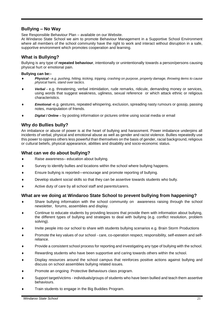#### <span id="page-20-0"></span>**Bullying – No Way**

See Responsible Behaviour Plan – available on our Website.

At Windaroo State School we aim to promote Behaviour Management in a Supportive School Environment where all members of the school community have the right to work and interact without disruption in a safe, supportive environment which promotes cooperation and learning.

#### <span id="page-20-1"></span>**What is Bullying?**

Bullying is any type of **repeated behaviour**, intentionally or unintentionally towards a person/persons causing physical hurt or emotional pain.

#### **Bullying can be:-**

- *Physical - e.g. pushing, hitting, kicking, tripping, crashing on purpose, property damage, throwing items to cause physical harm, stand over tactics.*
- *Verbal -* e.g. threatening, verbal intimidation, rude remarks, ridicule, demanding money or services, using words that suggest weakness, ugliness, sexual reference or which attack ethnic or religious characteristics.
- *Emotiona***l -**e.g. gestures, repeated whispering, exclusion, spreading nasty rumours or gossip, passing notes, manipulation of friends.
- *Digital / Online –* by posting information or pictures online using social media or email

#### <span id="page-20-2"></span>**Why do Bullies bully?**

An imbalance or abuse of power is at the heart of bullying and harassment. Power imbalance underpins all incidents of verbal, physical and emotional abuse as well as gender and racist violence. Bullies repeatedly use this power to oppress others less powerful than themselves on the basis of gender, racial background, religious or cultural beliefs, physical appearance, abilities and disability and socio-economic status.

#### <span id="page-20-3"></span>**What can we do about bullying?**

- Raise awareness– education about bullying.
- Survey to identify bullies and locations within the school where bullying happens.
- Ensure bullying is reported—encourage and promote reporting of bullying.
- Develop student social skills so that they can be assertive towards students who bully.
- Active duty of care by all school staff and parents/carers.

#### <span id="page-20-4"></span>**What are we doing at Windaroo State School to prevent bullying from happening?**

- Share bullying information with the school community on awareness raising through the school newsletter, forums, assemblies and display.
- Continue to educate students by providing lessons that provide them with information about bullying, the different types of bullying and strategies to deal with bullying (e.g. conflict resolution, problem solving).
- Invite people into our school to share with students bullying scenarios e.g. Brain Storm Productions
- Promote the key values of our school care, co-operation respect, responsibility, self-esteem and selfreliance.
- Provide a consistent school process for reporting and investigating any type of bullying with the school.
- Rewarding students who have been supportive and caring towards others within the school.
- Display resources around the school campus that reinforces positive actions against bullying and discuss on school assemblies bullying related issues.
- Promote an ongoing Protective Behaviours class program.
- Support target/victims individuals/groups of students who have been bullied and teach them assertive behaviours.
- Train students to engage in the Big Buddies Program.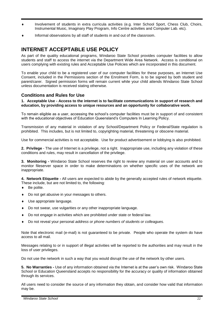- Involvement of students in extra curricula activities (e.g. Inter School Sport, Chess Club, Choirs, Instrumental Music, Imaginary Play Program, Info Centre activities and Computer Lab. etc).
- Informal observations by all staff of students in and out of the classroom.

## <span id="page-21-0"></span>**INTERNET ACCEPTABLE USE POLICY**

As part of the quality educational programs, Windaroo State School provides computer facilities to allow students and staff to access the internet via the Department Wide Area Network. Access is conditional on users complying with existing rules and Acceptable Use Policies which are incorporated in this document.

To enable your child to be a registered user of our computer facilities for these purposes, an Internet Use Consent, included in the Permissions section of the Enrolment Form, is to be signed by both student and parent/carer. Signed permission forms will remain current while your child attends Windaroo State School unless documentation is received stating otherwise.

#### <span id="page-21-1"></span>**Conditions and Rules for Use**

#### **1. Acceptable Use - Access to the internet is to facilitate communications in support of research and education, by providing access to unique resources and an opportunity for collaborative work.**

To remain eligible as a user, accessing the school's computer facilities must be in support of and consistent with the educational objectives of Education Queensland's Computers In Learning Policy.

Transmission of any material in violation of any School/Department Policy or Federal/State regulation is prohibited. This includes, but is not limited to, copyrighting material, threatening or obscene material.

Use for commercial activities is not acceptable. Use for product advertisement or lobbying is also prohibited.

**2. Privilege** - The use of Internet is a privilege, not a right. Inappropriate use, including any violation of these conditions and rules, may result in cancellation of the privilege.

**3. Monitoring -** Windaroo State School reserves the right to review any material on user accounts and to monitor fileserver space in order to make determinations on whether specific uses of the network are inappropriate.

**4. Network Etiquette -** All users are expected to abide by the generally accepted rules of network etiquette. These include, but are not limited to, the following:

- ◆ Be polite.
- Do not get abusive in your messages to others.
- Use appropriate language.
- Do not swear, use vulgarities or any other inappropriate language.
- Do not engage in activities which are prohibited under state or federal law.
- Do not reveal your personal *address or phone numbers of students or colleagues.*

Note that electronic mail (e-mail) is not guaranteed to be private. People who operate the system do have access to all mail.

Messages relating to or in support of illegal activities will be reported to the authorities and may result in the loss of user privileges.

Do not use the network in such a way that you would disrupt the use of the network by other users.

**5. No Warranties -** Use of any information obtained via the Internet is at the user's own risk. Windaroo State School or Education Queensland accepts no responsibility for the accuracy or quality of information obtained through its services.

All users need to consider the source of any information they obtain, and consider how valid that information may be.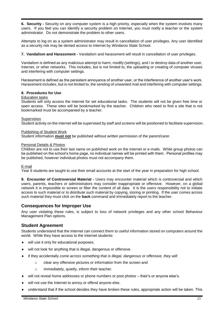**6. Security -** Security on any computer system is a high priority, especially when the system involves many users. If you feel you can identify a security problem on Internet, you must notify a teacher or the system administrator. Do not demonstrate the problem to other users.

Attempts to log on as a system administrator may result in cancellation of user privileges. Any user identified as a security risk may be denied access to Internet by Windaroo State School.

**7. Vandalism and Harassment -** Vandalism and harassment will result in cancellation of user privileges.

Vandalism is defined as any malicious attempt to harm, modify (settings), and / or destroy data of another user, Internet, or other networks. This includes, but is not limited to, the uploading or creating of computer viruses and interfering with computer settings.

Harassment is defined as the persistent annoyance of another user, or the interference of another user's work. Harassment includes, but is not limited to, the sending of unwanted mail and interfering with computer settings.

#### **8. Procedures for Use**

#### Education tasks

Students will only access the internet for set educational tasks. The students will not be given free time or open access. These sites will be bookmarked by the teacher. Children who need to find a site that is not bookmarked must be accompanied by a teacher.

#### Supervision

Student activity on the internet will be supervised by staff and screens will be positioned to facilitate supervision.

#### Publishing of Student Work

Student information **must not** be published without written permission of the parent/carer.

#### Personal Details & Photos

Children are not to use their last name on published work on the internet or e-mails. While group photos can be published on the school's home page, no individual names will be printed with them. Personal profiles may be published, however individual photos must not accompany them.

#### E-mail

Year 6 students are taught to use their email accounts at the start of the year in preparation for high school.

**9. Encounter of Controversial Material -** Users may encounter material which is controversial and which users, parents, teachers or administrators may consider inappropriate or offensive. However, on a global network it is impossible to screen or filter the content of all data. It is the users responsibility not to initiate access to such material or to distribute such material by copying, storing or printing. If the user comes across such material they must click on the **back** command and immediately report to the teacher.

#### <span id="page-22-0"></span>**Consequences for Improper Use**

Any user violating these rules, is subject to loss of network privileges and any other school Behaviour Management Plan options.

#### <span id="page-22-1"></span>**Student Agreement**

Students understand that the Internet can connect them to useful information stored on computers around the world. While they have access to the Internet students:

- will use it only for educational purposes.
- will not look for anything that is illegal, dangerous or offensive.
- if they accidentally *come across something that is illegal, dangerous or offensive, they will:*
	- o clear any offensive pictures or information from the screen and
	- o immediately, quietly, inform their teacher.
- will not reveal home addresses or phone numbers or post photos their's or anyone else's.
- will not use the Internet to annoy or offend anyone else.
- understand that if the school decides they have broken these rules, appropriate action will be taken. This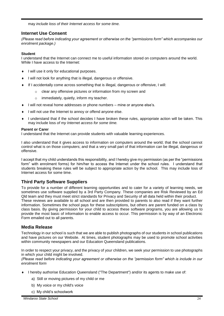may *include loss of their Internet access for some time.*

#### <span id="page-23-0"></span>**Internet Use Consent**

*(Please read before indicating your agreement or otherwise on the "permissions form" which accompanies our enrolment package.)*

#### **Student**

I understand that the Internet can connect me to useful information stored on computers around the world. While I have access to the Internet:

- $\bullet$  I will use it only for educational purposes.
- I will not look for anything that is illegal, dangerous or offensive.
- If I accidentally come across something that is illegal, dangerous or offensive, I will:
	- o clear any offensive pictures or information from my screen and
	- o immediately, quietly, inform my teacher.
- I will not reveal home addresses or phone numbers mine or anyone else's.
- $\bullet$  I will not use the Internet to annoy or offend anyone else.
- I understand that if the school decides I have broken these rules, appropriate action will be taken. This may include loss *of my Internet access for some time.*

#### **Parent or Carer**

I understand that the Internet can provide students with valuable learning experiences.

I also understand that it gives access to information on computers around the world; that the school cannot control what is on those computers; and that a very small part of that information can be illegal, dangerous or offensive.

I accept that my child understands this responsibility, and I hereby give my permission (as per the "permissions form" with enrolment forms) for him/her to access the Internet under the school rules. I understand that students breaking these rules will be subject to appropriate action by the school. This may include loss of Internet access for some time.

#### <span id="page-23-1"></span>**Third Party Software Suppliers**

To provide for a number of different learning opportunities and to cater for a variety of learning needs, we sometimes use software supplied by a 3rd Party Company. These companies are Risk Reviewed by an Ed Qld team and they must meet strict standards for Privacy and Security of all data held within their product. These reviews are available to all school and are then provided to parents to also read if they want further information. Sometimes the school pays for these subscriptions, but others are parent funded on a class by class basis. By giving permission for your child to access these software programs, you are allowing us to provide the most basic of information to enable access to occur. This permission is by way of an Electronic Form emailed out to all parents.

#### <span id="page-23-2"></span>**Media Release**

Technology in our school is such that we are able to publish photographs of our students in school publications and have pictures on our Website. At times, student photographs may be used to promote school activities within community newspapers and our Education Queensland publications.

In order to respect your privacy, and the privacy of your children, we seek your permission to use photographs in which your child might be involved.

*(Please read before indicating your agreement or otherwise on the "permission form" which is include in our enrolment form*

- I hereby authorise Education Queensland ("The Department") and/or its agents to make use of:
	- a) Still or moving pictures of my child or me
	- b) My voice or my child's voice
	- c) My child's schoolwork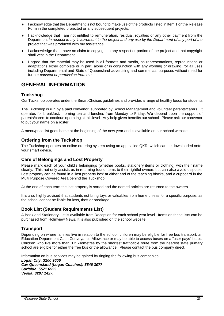- I acknowledge that the Department is not bound to make use of the products listed in Item 1 or the Release Form in the completed projected or any subsequent projects.
- I acknowledge that I am not entitled to remuneration, residual, royalties or any other payment from the Department *in respect to my involvement in the project and any use by the Department of any part of the*  project that was produced with my assistance.
- I acknowledge that I have no claim to copyright in any respect or portion of the project and that copyright shall vest in the Department.
- I agree that the material may be used in all formats and media, as representations, reproductions or adaptations either complete or in part, alone or in conjunction with any wording or drawing, for all uses including Departmental and State of Queensland advertising and commercial purposes without need for further *consent or permission from me.*

## <span id="page-24-0"></span>**GENERAL INFORMATION**

#### <span id="page-24-1"></span>**Tuckshop**

Our Tuckshop operates under the Smart Choices guidelines and provides a range of healthy foods for students.

The Tuckshop is run by a paid convenor, supported by School Management and volunteer parents/carers. It operates for breakfast, morning tea and lunches from Monday to Friday. We depend upon the support of parents/carers to continue operating at this level. Any help given benefits our school. Please ask our convenor to put your name on a roster.

<span id="page-24-2"></span>A menu/price list goes home at the beginning of the new year and is available on our school website.

#### **Ordering from the Tuckshop**

The Tuckshop operates an online ordering system using an app called QKR, which can be downloaded onto your smart device.

#### <span id="page-24-3"></span>**Care of Belongings and Lost Property**

Please mark each of your child's belongings (whether books, stationery items or clothing) with their name clearly. This not only assists us in returning found items to their rightful owners but can also avoid disputes. Lost property can be found in a 'lost property box' at either end of the teaching blocks, and a cupboard in the Multi Purpose Covered Area behind the Tuckshop.

At the end of each term the lost property is sorted and the named articles are returned to the owners.

It is also highly advised that students not bring toys or valuables from home unless for a specific purpose, as the school cannot be liable for loss, theft or breakage.

#### <span id="page-24-4"></span>**Book List (Student Requirements List)**

A Book and Stationery List is available from Reception for each school year level. Items on these lists can be purchased from Holmview News. It is also published on the school website.

#### <span id="page-24-5"></span>**Transport**

Depending on where families live in relation to the school, children may be eligible for free bus transport, an Education Department Cash Conveyance Allowance or may be able to access buses on a "user pays" basis. Children who live more than 3.2 kilometres by the shortest trafficable route from the nearest state primary school are eligible for either the free bus or the allowance. Please contact the bus company direct.

Information on bus services may be gained by ringing the following bus companies: *Logan City: 3200 9606 Cav Queensland (Logan Coaches): 5546 3077 Surfside: 5571 6555 Veolia: 3287 1427.*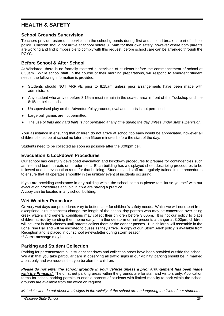## <span id="page-25-0"></span>**HEALTH & SAFETY**

#### <span id="page-25-1"></span>**School Grounds Supervision**

Teachers provide rostered supervision in the school grounds during first and second break as part of school policy. Children should not arrive at school before 8.15am for their own safety, however where both parents are working and find it impossible to comply with this request, before school care can be arranged through the PCYC.

#### <span id="page-25-2"></span>**Before School & After School**

At Windaroo, there is no formally rostered supervision of students before the commencement of school at 8:50am. While school staff, in the course of their morning preparations, will respond to emergent student needs, the following information is provided:

- Students should NOT ARRIVE prior to 8:15am unless prior arrangements have been made with administration.
- Any student who arrives before 8:15am must remain in the seated area in front of the Tuckshop until the 8:15am bell sounds.
- Unsupervised play on the Adventure/playgrounds, oval and courts is not permitted.
- Large ball games are not permitted.
- The use of *bats and hard balls is not permitted at any time during the day unless under staff supervision.*

Your assistance in ensuring that children do not arrive at school too early would be appreciated, however all children should be at school no later than fifteen minutes before the start of the day.

<span id="page-25-3"></span>Students need to be collected as soon as possible after the 3:00pm bell.

#### **Evacuation & Lockdown Procedures**

Our school has carefully developed evacuation and lockdown procedures to prepare for contingencies such as fires and bomb threats or intruder alert. Each building has a displayed sheet describing procedures to be followed and the evacuation route for that building. Students and staff are regularly trained in the procedures to ensure that all operates smoothly in the unlikely event of incidents occurring.

If you are providing assistance in any building within the school campus please familiarise yourself with our evacuation procedures and join in if we are having a practice. A copy can be located in any school building.

#### <span id="page-25-4"></span>**Wet Weather Procedure**

On very wet days our procedures vary to better cater for children's safety needs. Whilst we will not (apart from exceptional circumstances) change the length of the school day parents who may be concerned over rising creek waters and general conditions may collect their children before 3:00pm. It is not our policy to place children at risk by sending them home early. If a thunderstorm or hail presents a danger at 3:00pm, children will be kept in their classes until parents collect them or the danger passes. Bus children will assemble in the Lone Pine Hall and will be escorted to buses as they arrive. A copy of our 'Storm Alert' policy is available from Reception and is placed in our school e-newsletter during storm season.

<span id="page-25-5"></span>\*\* A text message may be sent.

#### **Parking and Student Collection**

Parking for parents/carers plus student set down and collection areas have been provided outside the school. We ask that you take particular care in observing all traffic signs in our vicinity; parking should be in marked areas only and we request that you be alert for children.

#### *Please do not enter the school grounds in your vehicle unless a prior arrangement has been made*

*with the Principal***.** The off street parking areas within the grounds are for staff and visitors only. Application forms for school parking permits to enable parents of students with limited mobility to park within the school grounds are available from the office on request.

*Motorists who do not observe all signs in the vicinity of the school are endangering the lives of our students.*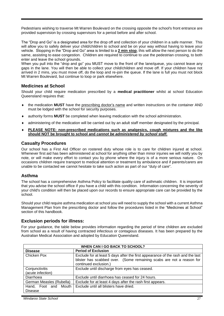Pedestrians wishing to traverse Mt Warren Boulevard on the crossing opposite the school's front entrance are provided supervision by crossing supervisors for a period before and after school.

The "Drop and Go" is a designated area for the drop off and collection of your children in a safe manner. This will allow you to safely deliver your child/children to school and be on your way without having to leave your vehicle. Stopping in the "Drop and Go" area is limited to a **2 min stop**, this will allow the next person to do the same, assisting to ease congestion. Children are required to continue to use the pedestrian crossing, to both enter and leave the school grounds.

When you pull into the "drop and go" you MUST move to the front of the lane/queue, you cannot leave any gaps in the lane. You will then be able to collect your child/children and move off. If your children have not arrived in 2 mins, you must move off, do the loop and re-join the queue. If the lane is full you must not block Mt Warren Boulevard, but continue to loop or park elsewhere.

#### <span id="page-26-0"></span>**Medicines at School**

Should your child require medication prescribed by a **medical practitioner** whilst at school Education Queensland requires that:

- ◆ the medication **MUST** have the prescribing doctor's name and written instructions on the container AND must be lodged with the school for security purposes.
- authority forms **MUST** be completed when leaving medication with the school administration*.*
- administering of the medication will be carried out by an adult staff member designated by the principal.
- **PLEASE NOTE: non-prescribed medications such as analgesics, cough mixtures and the like should NOT be brought to school and** *cannot be administered by school staff.*

#### <span id="page-26-1"></span>**Casualty Procedures**

Our school has a First Aid Officer on rostered duty whose role is to care for children injured at school. Whenever first aid has been administered at school for anything other than minor injuries we will notify you by note, or will make every effort to contact you by phone where the injury is of a more serious nature. On occasions children require transport to medical attention or treatment by ambulance and if parents/carers are unable to be contacted we cannot hesitate to take such action as part of our "duty of care".

#### <span id="page-26-2"></span>**Asthma**

The school has a comprehensive Asthma Policy to facilitate quality care of asthmatic children. It is important that you advise the school office if you have a child with this condition. Information concerning the severity of your child's condition will then be placed upon our records to ensure appropriate care can be provided by the school.

Should your child require asthma medication at school you will need to supply the school with a current Asthma Management Plan from the prescribing doctor and follow the procedures listed in the "Medicines at School" section of this handbook.

#### <span id="page-26-3"></span>**Exclusion periods for illness:**

For your guidance, the table below provides information regarding the period of time children are excluded from school as a result of having contracted infectious or contagious diseases. It has been prepared by the Australian Medical Association and adopted by Education Queensland.

| <b>WHEN CAN I GO BACK TO SCHOOL?</b> |                                                                                                                                                                                  |  |
|--------------------------------------|----------------------------------------------------------------------------------------------------------------------------------------------------------------------------------|--|
| <b>Disease</b>                       | <b>Period of Exclusion</b>                                                                                                                                                       |  |
| Chicken Pox                          | Exclude for at least 5 days after the first appearance of the rash and the last<br>blister has scabbed over. (Some remaining scabs are not a reason for<br>continued exclusion.) |  |
| Conjunctivitis                       | Exclude until discharge from eyes has ceased.                                                                                                                                    |  |
| (acute infection)                    |                                                                                                                                                                                  |  |
| Diarrhoea                            | Exclude until diarrhoea has ceased for 24 hours.                                                                                                                                 |  |
| German Measles (Rubella)             | Exclude for at least 4 days after the rash first appears.                                                                                                                        |  |
| Hand, Foot and Mouth                 | Exclude until all blisters have dried.                                                                                                                                           |  |
| Disease                              |                                                                                                                                                                                  |  |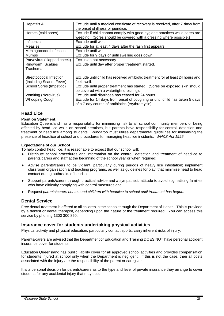| <b>Hepatitis A</b>         | Exclude until a medical certificate of recovery is received, after 7 days from  |
|----------------------------|---------------------------------------------------------------------------------|
|                            | the onset of illness or jaundice.                                               |
| Herpes (cold sores)        | Exclude if child cannot comply with good hygiene practices while sores are      |
|                            | weeping. (Sores should be covered with a dressing where possible.)              |
| Influenza                  | Exclude until well.                                                             |
| Measles                    | Exclude for at least 4 days after the rash first appears.                       |
| Meningococcal infection    | Exclude until well                                                              |
| <b>Mumps</b>               | Exclude for 9 days or until swelling goes down.                                 |
| Parvovirus (slapped cheek) | Exclusion not necessary                                                         |
| Ringworm, Scabies          | Exclude until day after proper treatment started.                               |
| Trachoma                   |                                                                                 |
|                            |                                                                                 |
| Streptococcal Infection    | Exclude until child has received antibiotic treatment for at least 24 hours and |
| (Including Scarlet Fever)  | feels well.                                                                     |
| School Sores (Impetigo)    | Exclude until proper treatment has started. (Sores on exposed skin should       |
|                            | be covered with a watertight dressing).                                         |
| Vomiting (Norovirus)       | Exclude until diarrhoea has ceased for 24 hours.                                |
| <b>Whooping Cough</b>      | Exclude for 14 days from onset of coughing or until child has taken 5 days      |
|                            | of a 7-day course of antibiotics (erythromycin).                                |

#### <span id="page-27-0"></span>**Head Lice**

#### **Position Statement:**

Education Queensland has a responsibility for minimising risk to all school community members of being affected by head lice while on school premises, but parents have responsibility for control, detection and treatment of head lice among students. Windaroo must utilise departmental guidelines for minimising the presence of headlice at school and procedures for managing headlice incidents. *WH&S Act 1995.*

#### **Expectations of our School**

To help control head lice, it is reasonable to expect that our school will:

- Distribute school procedures and information on the control, detection and treatment of headlice to parents/carers and staff at the beginning of the school year or when required;
- Advise parents/carers to be vigilant, particularly during periods of heavy lice infestation; implement classroom organisation and teaching programs, as well as guidelines for play, that minimise head to head contact during outbreaks of headlice;
- Support parents/carers through practical advice and a sympathetic attitude to avoid stigmatising families who have difficulty complying with control measures and
- Request *parents/carers not to send children with headlice to school until treatment has begun.*

#### <span id="page-27-1"></span>**Dental Service**

Free dental treatment is offered to all children in the school through the Department of Health. This is provided by a dentist or dental therapist, depending upon the nature of the treatment required. You can access this service by phoning 1300 300 850.

#### <span id="page-27-2"></span>**Insurance cover for students undertaking physical activities**

Physical activity and physical education, particularly contact sports, carry inherent risks of injury.

Parents/carers are advised that the Department of Education and Training DOES NOT have personal accident insurance cover for students.

Education Queensland has public liability cover for all approved school activities and provides compensation for students injured at school only when the Department is negligent. If this is not the case, then all costs associated with the injury are the responsibility of the parent or caregiver.

It is a personal decision for parents/carers as to the type and level of private insurance they arrange to cover students for any accidental injury that may occur.